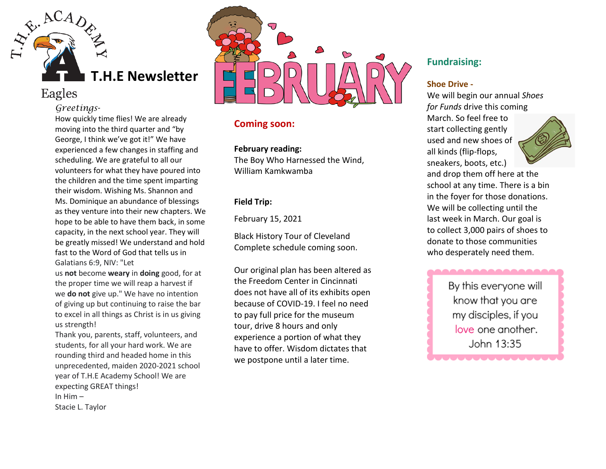

# Eagles

### *Greetings-*

How quickly time flies! We are already moving into the third quarter and "by George, I think we've got it!" We have experienced a few changes in staffing and scheduling. We are grateful to all our volunteers for what they have poured into the children and the time spent imparting their wisdom. Wishing Ms. Shannon and Ms. Dominique an abundance of blessings as they venture into their new chapters. We hope to be able to have them back, in some capacity, in the next school year. They will be greatly missed! We understand and hold fast to the Word of God that tells us in Galatians 6:9, NIV: "Let

us **not** become **weary** in **doing** good, for at the proper time we will reap a harvest if we **do not** give up." We have no intention of giving up but continuing to raise the bar to excel in all things as Christ is in us giving us strength!

Thank you, parents, staff, volunteers, and students, for all your hard work. We are rounding third and headed home in this unprecedented, maiden 2020-2021 school year of T.H.E Academy School! We are expecting GREAT things! In Him – Stacie L. Taylor



# **Coming soon:**

#### **February reading:**

The Boy Who Harnessed the Wind, William Kamkwamba

## **Field Trip:**

February 15, 2021

Black History Tour of Cleveland Complete schedule coming soon.

Our original plan has been altered as the Freedom Center in Cincinnati does not have all of its exhibits open because of COVID-19. I feel no need to pay full price for the museum tour, drive 8 hours and only experience a portion of what they have to offer. Wisdom dictates that we postpone until a later time.

# **Fundraising:**

### **Shoe Drive -**

We will begin our annual *Shoes for Funds* drive this coming March. So feel free to start collecting gently used and new shoes of all kinds (flip-flops, sneakers, boots, etc.)



and drop them off here at the school at any time. There is a bin in the foyer for those donations. We will be collecting until the last week in March. Our goal is to collect 3,000 pairs of shoes to donate to those communities who desperately need them.

> By this everyone will know that you are my disciples, if you love one another. John 13:35